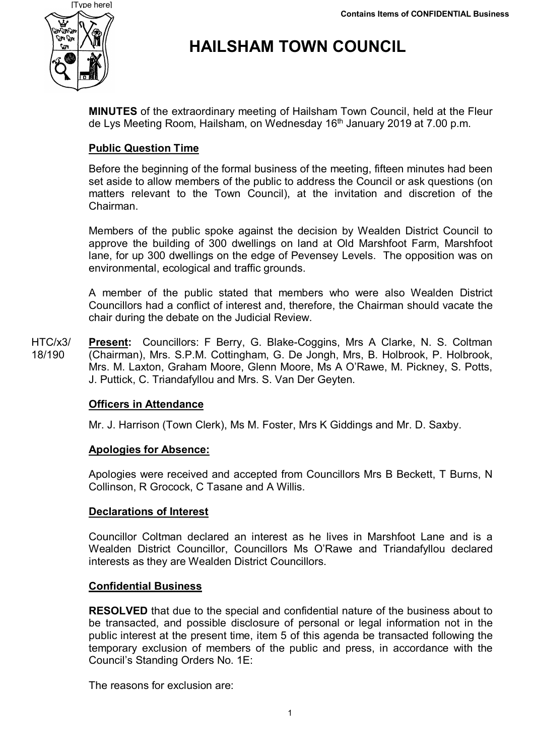

# **HAILSHAM TOWN COUNCIL**

**MINUTES** of the extraordinary meeting of Hailsham Town Council, held at the Fleur de Lys Meeting Room, Hailsham, on Wednesday 16<sup>th</sup> January 2019 at 7.00 p.m.

# **Public Question Time**

Before the beginning of the formal business of the meeting, fifteen minutes had been set aside to allow members of the public to address the Council or ask questions (on matters relevant to the Town Council), at the invitation and discretion of the Chairman.

Members of the public spoke against the decision by Wealden District Council to approve the building of 300 dwellings on land at Old Marshfoot Farm, Marshfoot lane, for up 300 dwellings on the edge of Pevensey Levels. The opposition was on environmental, ecological and traffic grounds.

A member of the public stated that members who were also Wealden District Councillors had a conflict of interest and, therefore, the Chairman should vacate the chair during the debate on the Judicial Review.

HTC/x3/ 18/190 **Present:** Councillors: F Berry, G. Blake-Coggins, Mrs A Clarke, N. S. Coltman (Chairman), Mrs. S.P.M. Cottingham, G. De Jongh, Mrs, B. Holbrook, P. Holbrook, Mrs. M. Laxton, Graham Moore, Glenn Moore, Ms A O'Rawe, M. Pickney, S. Potts, J. Puttick, C. Triandafyllou and Mrs. S. Van Der Geyten.

## **Officers in Attendance**

Mr. J. Harrison (Town Clerk), Ms M. Foster, Mrs K Giddings and Mr. D. Saxby.

## **Apologies for Absence:**

Apologies were received and accepted from Councillors Mrs B Beckett, T Burns, N Collinson, R Grocock, C Tasane and A Willis.

## **Declarations of Interest**

Councillor Coltman declared an interest as he lives in Marshfoot Lane and is a Wealden District Councillor, Councillors Ms O'Rawe and Triandafyllou declared interests as they are Wealden District Councillors.

#### **Confidential Business**

**RESOLVED** that due to the special and confidential nature of the business about to be transacted, and possible disclosure of personal or legal information not in the public interest at the present time, item 5 of this agenda be transacted following the temporary exclusion of members of the public and press, in accordance with the Council's Standing Orders No. 1E:

The reasons for exclusion are: